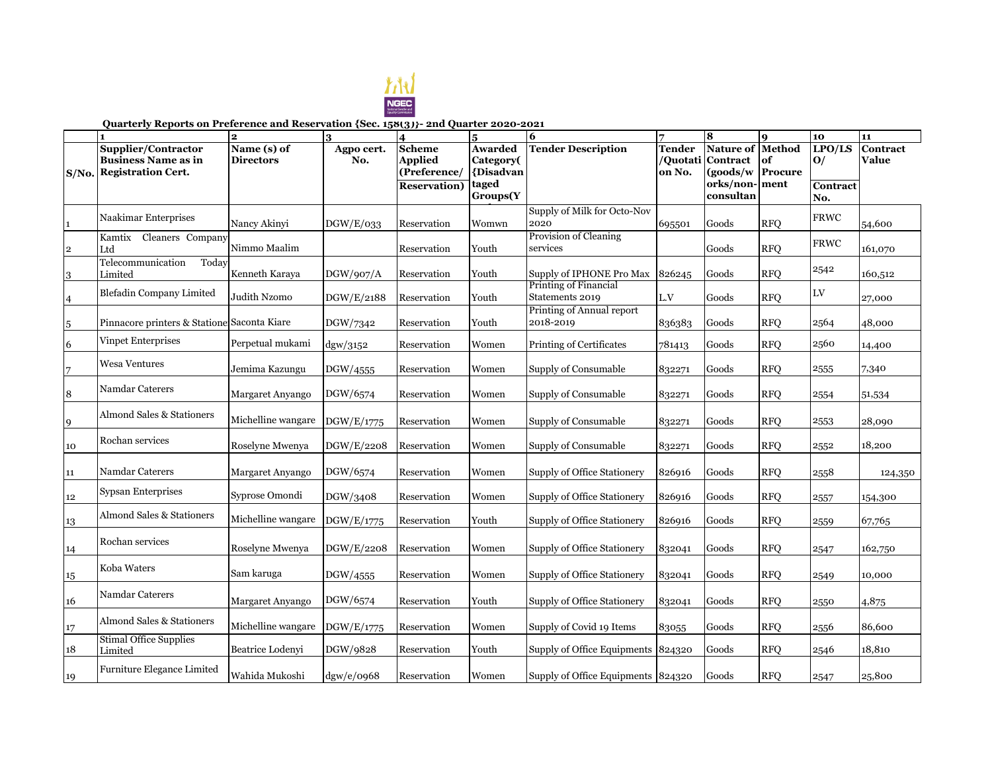

## **Quarterly Reports on Preference and Reservation {Sec. 158(3)}- 2nd Quarter 2020-2021**

|                |                                                                                | $\overline{2}$                  | 3                 | 4                                               | 5                                        | 6                                        | 7                                   | 8                                                | $\mathbf Q$          | 10                      | 11                              |
|----------------|--------------------------------------------------------------------------------|---------------------------------|-------------------|-------------------------------------------------|------------------------------------------|------------------------------------------|-------------------------------------|--------------------------------------------------|----------------------|-------------------------|---------------------------------|
| S/No.          | Supplier/Contractor<br><b>Business Name as in</b><br><b>Registration Cert.</b> | Name (s) of<br><b>Directors</b> | Agpo cert.<br>No. | <b>Scheme</b><br><b>Applied</b><br>(Preference/ | <b>Awarded</b><br>Category(<br>{Disadvan | <b>Tender Description</b>                | <b>Tender</b><br>/Ouotati<br>on No. | Nature of Method<br><b>Contract</b><br>(goods/w) | of<br><b>Procure</b> | LPO/LS<br>$\mathbf{O}/$ | <b>Contract</b><br><b>Value</b> |
|                |                                                                                |                                 |                   | <b>Reservation</b> )                            | taged<br>Groups(Y                        |                                          |                                     | orks/non-<br>consultan                           | ment                 | Contract<br>No.         |                                 |
|                | Naakimar Enterprises                                                           | Nancy Akinyi                    | DGW/E/033         | Reservation                                     | Womwn                                    | Supply of Milk for Octo-Nov<br>2020      | 695501                              | Goods                                            | <b>RFQ</b>           | <b>FRWC</b>             | 54,600                          |
| $\overline{2}$ | Cleaners Company<br>Kamtix<br>Ltd                                              | Nimmo Maalim                    |                   | Reservation                                     | Youth                                    | Provision of Cleaning<br>services        |                                     | Goods                                            | <b>RFO</b>           | <b>FRWC</b>             | 161,070                         |
| 3              | Telecommunication<br>Today<br>Limited                                          | Kenneth Karava                  | DGW/907/A         | Reservation                                     | Youth                                    | Supply of IPHONE Pro Max                 | 826245                              | Goods                                            | <b>RFO</b>           | 2542                    | 160,512                         |
| $\overline{4}$ | <b>Blefadin Company Limited</b>                                                | Judith Nzomo                    | DGW/E/2188        | Reservation                                     | Youth                                    | Printing of Financial<br>Statements 2019 | L.V                                 | Goods                                            | <b>RFQ</b>           | ${\rm LV}$              | 27,000                          |
| 5              | Pinnacore printers & Statione Saconta Kiare                                    |                                 | DGW/7342          | Reservation                                     | Youth                                    | Printing of Annual report<br>2018-2019   | 836383                              | Goods                                            | <b>RFO</b>           | 2564                    | 48,000                          |
| 6              | <b>Vinpet Enterprises</b>                                                      | Perpetual mukami                | dgw/3152          | Reservation                                     | Women                                    | Printing of Certificates                 | 781413                              | Goods                                            | <b>RFO</b>           | 2560                    | 14,400                          |
| 7              | Wesa Ventures                                                                  | Jemima Kazungu                  | DGW/4555          | Reservation                                     | Women                                    | Supply of Consumable                     | 832271                              | Goods                                            | <b>RFO</b>           | 2555                    | 7,340                           |
| $\,8\,$        | Namdar Caterers                                                                | Margaret Anyango                | DGW/6574          | Reservation                                     | Women                                    | Supply of Consumable                     | 832271                              | Goods                                            | <b>RFQ</b>           | 2554                    | 51,534                          |
| 9              | Almond Sales & Stationers                                                      | Michelline wangare              | DGW/E/1775        | Reservation                                     | Women                                    | Supply of Consumable                     | 832271                              | Goods                                            | <b>RFQ</b>           | 2553                    | 28,090                          |
| 10             | Rochan services                                                                | Roselyne Mwenya                 | DGW/E/2208        | Reservation                                     | Women                                    | Supply of Consumable                     | 832271                              | Goods                                            | <b>RFO</b>           | 2552                    | 18,200                          |
| 11             | Namdar Caterers                                                                | Margaret Anyango                | DGW/6574          | Reservation                                     | Women                                    | Supply of Office Stationery              | 826916                              | Goods                                            | <b>RFQ</b>           | 2558                    | 124,350                         |
| 12             | <b>Sypsan Enterprises</b>                                                      | Syprose Omondi                  | DGW/3408          | Reservation                                     | Women                                    | Supply of Office Stationery              | 826916                              | Goods                                            | <b>RFQ</b>           | 2557                    | 154,300                         |
| $13\,$         | Almond Sales & Stationers                                                      | Michelline wangare              | DGW/E/1775        | Reservation                                     | Youth                                    | Supply of Office Stationery              | 826916                              | Goods                                            | <b>RFO</b>           | 2559                    | 67,765                          |
| 14             | Rochan services                                                                | Roselyne Mwenya                 | DGW/E/2208        | Reservation                                     | Women                                    | Supply of Office Stationery              | 832041                              | Goods                                            | <b>RFO</b>           | 2547                    | 162,750                         |
| $15\,$         | Koba Waters                                                                    | Sam karuga                      | DGW/4555          | Reservation                                     | Women                                    | Supply of Office Stationery              | 832041                              | Goods                                            | <b>RFQ</b>           | 2549                    | 10,000                          |
| 16             | Namdar Caterers                                                                | Margaret Anyango                | DGW/6574          | Reservation                                     | Youth                                    | Supply of Office Stationery              | 832041                              | Goods                                            | <b>RFO</b>           | 2550                    | 4,875                           |
| 17             | Almond Sales & Stationers                                                      | Michelline wangare              | DGW/E/1775        | Reservation                                     | Women                                    | Supply of Covid 19 Items                 | 83055                               | Goods                                            | <b>RFO</b>           | 2556                    | 86,600                          |
| 18             | <b>Stimal Office Supplies</b><br>Limited                                       | Beatrice Lodenvi                | DGW/9828          | Reservation                                     | Youth                                    | Supply of Office Equipments              | 824320                              | Goods                                            | <b>RFO</b>           | 2546                    | 18,810                          |
| 19             | Furniture Elegance Limited                                                     | Wahida Mukoshi                  | dgw/e/0968        | Reservation                                     | Women                                    | Supply of Office Equipments 824320       |                                     | Goods                                            | <b>RFQ</b>           | 2547                    | 25,800                          |